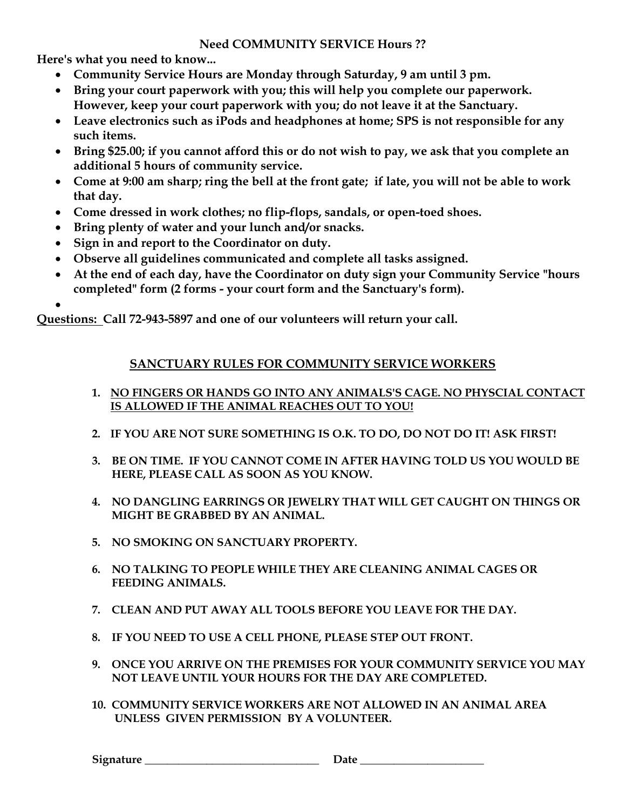## **Need COMMUNITY SERVICE Hours ??**

**Here's what you need to know...**

- **Community Service Hours are Monday through Saturday, 9 am until 3 pm.**
- **Bring your court paperwork with you; this will help you complete our paperwork. However, keep your court paperwork with you; do not leave it at the Sanctuary.**
- **Leave electronics such as iPods and headphones at home; SPS is not responsible for any such items.**
- **Bring \$25.00; if you cannot afford this or do not wish to pay, we ask that you complete an additional 5 hours of community service.**
- **Come at 9:00 am sharp; ring the bell at the front gate; if late, you will not be able to work that day.**
- **Come dressed in work clothes; no flip-flops, sandals, or open-toed shoes.**
- **Bring plenty of water and your lunch and/or snacks.**
- **Sign in and report to the Coordinator on duty.**
- **Observe all guidelines communicated and complete all tasks assigned.**
- **At the end of each day, have the Coordinator on duty sign your Community Service "hours completed" form (2 forms - your court form and the Sanctuary's form).**

 $\bullet$ 

**Questions: Call 72-943-5897 and one of our volunteers will return your call.**

## **SANCTUARY RULES FOR COMMUNITY SERVICE WORKERS**

- **1. NO FINGERS OR HANDS GO INTO ANY ANIMALS'S CAGE. NO PHYSCIAL CONTACT IS ALLOWED IF THE ANIMAL REACHES OUT TO YOU!**
- **2. IF YOU ARE NOT SURE SOMETHING IS O.K. TO DO, DO NOT DO IT! ASK FIRST!**
- **3. BE ON TIME. IF YOU CANNOT COME IN AFTER HAVING TOLD US YOU WOULD BE HERE, PLEASE CALL AS SOON AS YOU KNOW.**
- **4. NO DANGLING EARRINGS OR JEWELRY THAT WILL GET CAUGHT ON THINGS OR MIGHT BE GRABBED BY AN ANIMAL.**
- **5. NO SMOKING ON SANCTUARY PROPERTY.**
- **6. NO TALKING TO PEOPLE WHILE THEY ARE CLEANING ANIMAL CAGES OR FEEDING ANIMALS.**
- **7. CLEAN AND PUT AWAY ALL TOOLS BEFORE YOU LEAVE FOR THE DAY.**
- **8. IF YOU NEED TO USE A CELL PHONE, PLEASE STEP OUT FRONT.**
- **9. ONCE YOU ARRIVE ON THE PREMISES FOR YOUR COMMUNITY SERVICE YOU MAY NOT LEAVE UNTIL YOUR HOURS FOR THE DAY ARE COMPLETED.**
- **10. COMMUNITY SERVICE WORKERS ARE NOT ALLOWED IN AN ANIMAL AREA UNLESS GIVEN PERMISSION BY A VOLUNTEER.**

**Signature \_\_\_\_\_\_\_\_\_\_\_\_\_\_\_\_\_\_\_\_\_\_\_\_\_\_\_\_\_\_\_ Date \_\_\_\_\_\_\_\_\_\_\_\_\_\_\_\_\_\_\_\_\_\_**